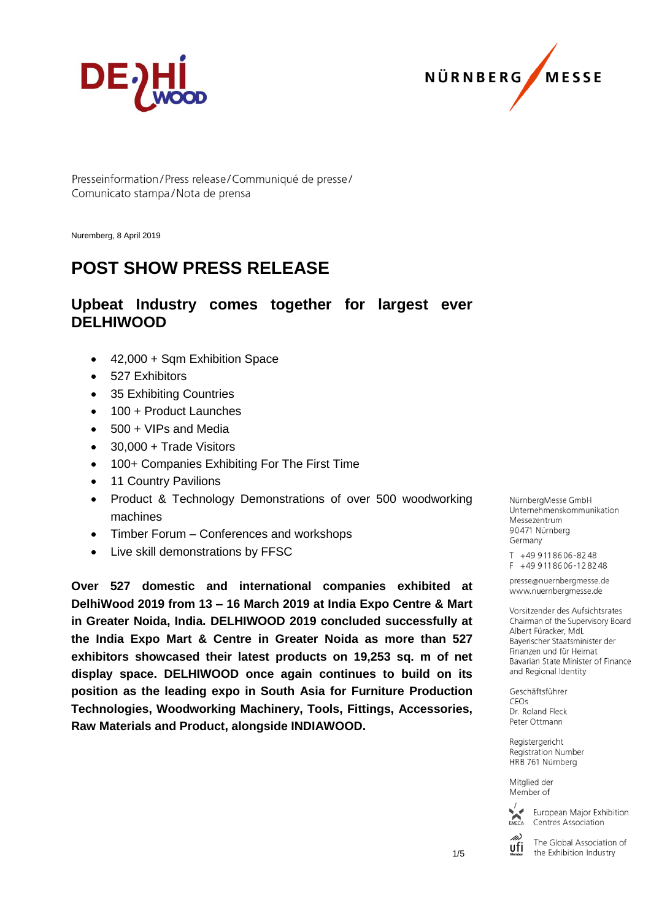



Presseinformation/Press release/Communiqué de presse/ Comunicato stampa/Nota de prensa

Nuremberg, 8 April 2019

# **POST SHOW PRESS RELEASE**

## **Upbeat Industry comes together for largest ever DELHIWOOD**

- 42,000 + Sqm Exhibition Space
- 527 Exhibitors
- 35 Exhibiting Countries
- 100 + Product Launches
- 500 + VIPs and Media
- 30,000 + Trade Visitors
- 100+ Companies Exhibiting For The First Time
- 11 Country Pavilions
- Product & Technology Demonstrations of over 500 woodworking machines
- Timber Forum Conferences and workshops
- Live skill demonstrations by FFSC

**Over 527 domestic and international companies exhibited at DelhiWood 2019 from 13 – 16 March 2019 at India Expo Centre & Mart in Greater Noida, India. DELHIWOOD 2019 concluded successfully at the India Expo Mart & Centre in Greater Noida as more than 527 exhibitors showcased their latest products on 19,253 sq. m of net display space. DELHIWOOD once again continues to build on its position as the leading expo in South Asia for Furniture Production Technologies, Woodworking Machinery, Tools, Fittings, Accessories, Raw Materials and Product, alongside INDIAWOOD.**

NürnbergMesse GmbH Unternehmenskommunikation Messezentrum 90471 Nürnberg Germany

T +49 911 86 06 - 82 48  $F + 499118606 - 128248$ 

presse@nuernbergmesse.de www.nuernbergmesse.de

Vorsitzender des Aufsichtsrates Chairman of the Supervisory Board Albert Füracker, MdL Bayerischer Staatsminister der Finanzen und für Heimat Bavarian State Minister of Finance and Regional Identity

Geschäftsführer  $CFOs$ Dr. Roland Fleck Peter Ottmann

Registergericht Registration Number HRB 761 Nürnberg

Mitglied der Member of



European Major Exhibition Centres Association

The Global Association of ufi the Exhibition Industry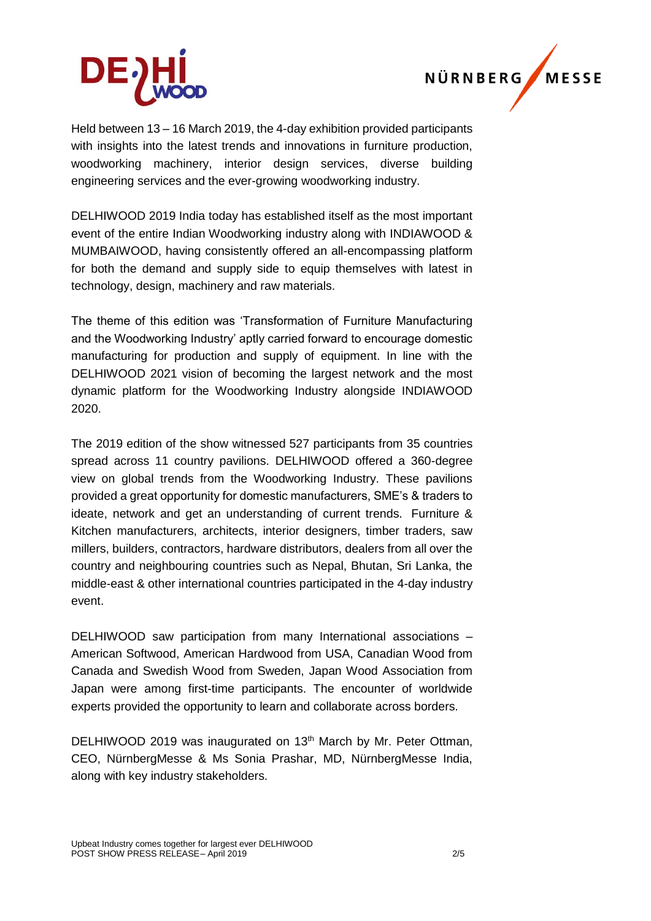



Held between 13 – 16 March 2019, the 4-day exhibition provided participants with insights into the latest trends and innovations in furniture production, woodworking machinery, interior design services, diverse building engineering services and the ever-growing woodworking industry.

DELHIWOOD 2019 India today has established itself as the most important event of the entire Indian Woodworking industry along with INDIAWOOD & MUMBAIWOOD, having consistently offered an all-encompassing platform for both the demand and supply side to equip themselves with latest in technology, design, machinery and raw materials.

The theme of this edition was 'Transformation of Furniture Manufacturing and the Woodworking Industry' aptly carried forward to encourage domestic manufacturing for production and supply of equipment. In line with the DELHIWOOD 2021 vision of becoming the largest network and the most dynamic platform for the Woodworking Industry alongside INDIAWOOD 2020.

The 2019 edition of the show witnessed 527 participants from 35 countries spread across 11 country pavilions. DELHIWOOD offered a 360-degree view on global trends from the Woodworking Industry. These pavilions provided a great opportunity for domestic manufacturers, SME's & traders to ideate, network and get an understanding of current trends. Furniture & Kitchen manufacturers, architects, interior designers, timber traders, saw millers, builders, contractors, hardware distributors, dealers from all over the country and neighbouring countries such as Nepal, Bhutan, Sri Lanka, the middle-east & other international countries participated in the 4-day industry event.

DELHIWOOD saw participation from many International associations – American Softwood, American Hardwood from USA, Canadian Wood from Canada and Swedish Wood from Sweden, Japan Wood Association from Japan were among first-time participants. The encounter of worldwide experts provided the opportunity to learn and collaborate across borders.

DELHIWOOD 2019 was inaugurated on 13<sup>th</sup> March by Mr. Peter Ottman, CEO, NürnbergMesse & Ms Sonia Prashar, MD, NürnbergMesse India, along with key industry stakeholders.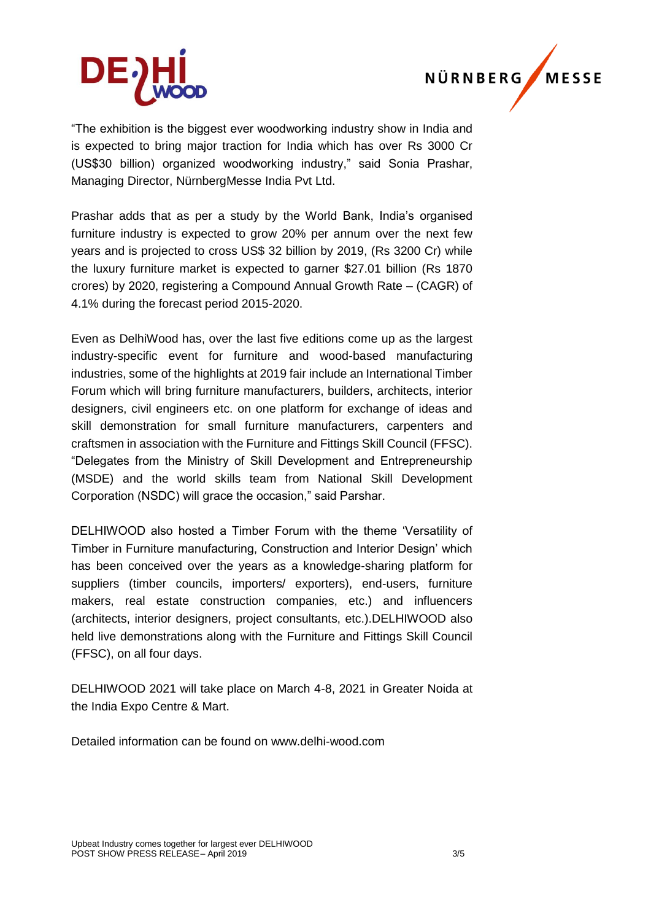



"The exhibition is the biggest ever woodworking industry show in India and is expected to bring major traction for India which has over Rs 3000 Cr (US\$30 billion) organized woodworking industry," said Sonia Prashar, Managing Director, NürnbergMesse India Pvt Ltd.

Prashar adds that as per a study by the World Bank, India's organised furniture industry is expected to grow 20% per annum over the next few years and is projected to cross US\$ 32 billion by 2019, (Rs 3200 Cr) while the luxury furniture market is expected to garner \$27.01 billion (Rs 1870 crores) by 2020, registering a Compound Annual Growth Rate – (CAGR) of 4.1% during the forecast period 2015-2020.

Even as DelhiWood has, over the last five editions come up as the largest industry-specific event for furniture and wood-based manufacturing industries, some of the highlights at 2019 fair include an International Timber Forum which will bring furniture manufacturers, builders, architects, interior designers, civil engineers etc. on one platform for exchange of ideas and skill demonstration for small furniture manufacturers, carpenters and craftsmen in association with the Furniture and Fittings Skill Council (FFSC). "Delegates from the Ministry of Skill Development and Entrepreneurship (MSDE) and the world skills team from National Skill Development Corporation (NSDC) will grace the occasion," said Parshar.

DELHIWOOD also hosted a Timber Forum with the theme 'Versatility of Timber in Furniture manufacturing, Construction and Interior Design' which has been conceived over the years as a knowledge-sharing platform for suppliers (timber councils, importers/ exporters), end-users, furniture makers, real estate construction companies, etc.) and influencers (architects, interior designers, project consultants, etc.).DELHIWOOD also held live demonstrations along with the Furniture and Fittings Skill Council (FFSC), on all four days.

DELHIWOOD 2021 will take place on March 4-8, 2021 in Greater Noida at the India Expo Centre & Mart.

Detailed information can be found on www.delhi-wood.com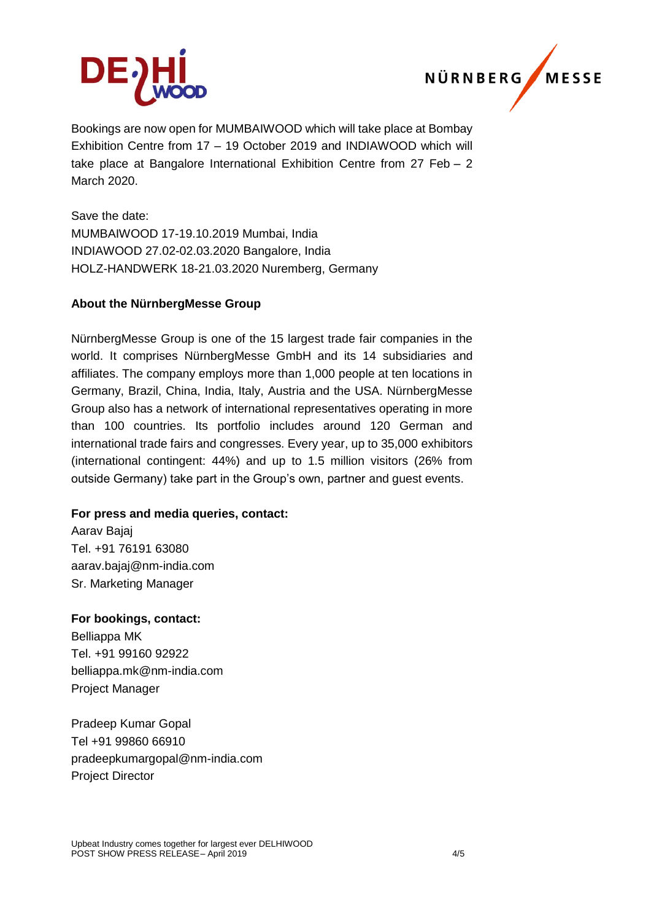



Bookings are now open for MUMBAIWOOD which will take place at Bombay Exhibition Centre from 17 – 19 October 2019 and INDIAWOOD which will take place at Bangalore International Exhibition Centre from 27 Feb – 2 March 2020.

Save the date: MUMBAIWOOD 17-19.10.2019 Mumbai, India INDIAWOOD 27.02-02.03.2020 Bangalore, India HOLZ-HANDWERK 18-21.03.2020 Nuremberg, Germany

### **About the NürnbergMesse Group**

NürnbergMesse Group is one of the 15 largest trade fair companies in the world. It comprises NürnbergMesse GmbH and its 14 subsidiaries and affiliates. The company employs more than 1,000 people at ten locations in Germany, Brazil, China, India, Italy, Austria and the USA. NürnbergMesse Group also has a network of international representatives operating in more than 100 countries. Its portfolio includes around 120 German and international trade fairs and congresses. Every year, up to 35,000 exhibitors (international contingent: 44%) and up to 1.5 million visitors (26% from outside Germany) take part in the Group's own, partner and guest events.

### **For press and media queries, contact:**

Aarav Bajaj Tel. +91 76191 63080 [aarav.bajaj@nm-india.com](mailto:aarav.bajaj@nm-india.com) Sr. Marketing Manager

#### **For bookings, contact:**

Belliappa MK Tel. +91 99160 92922 [belliappa.mk@nm-india.com](mailto:belliappa.mk@nm-india.com) Project Manager

Pradeep Kumar Gopal Tel +91 99860 66910 [pradeepkumargopal@nm-india.com](mailto:pradeepkumargopal@nm-india.com) Project Director